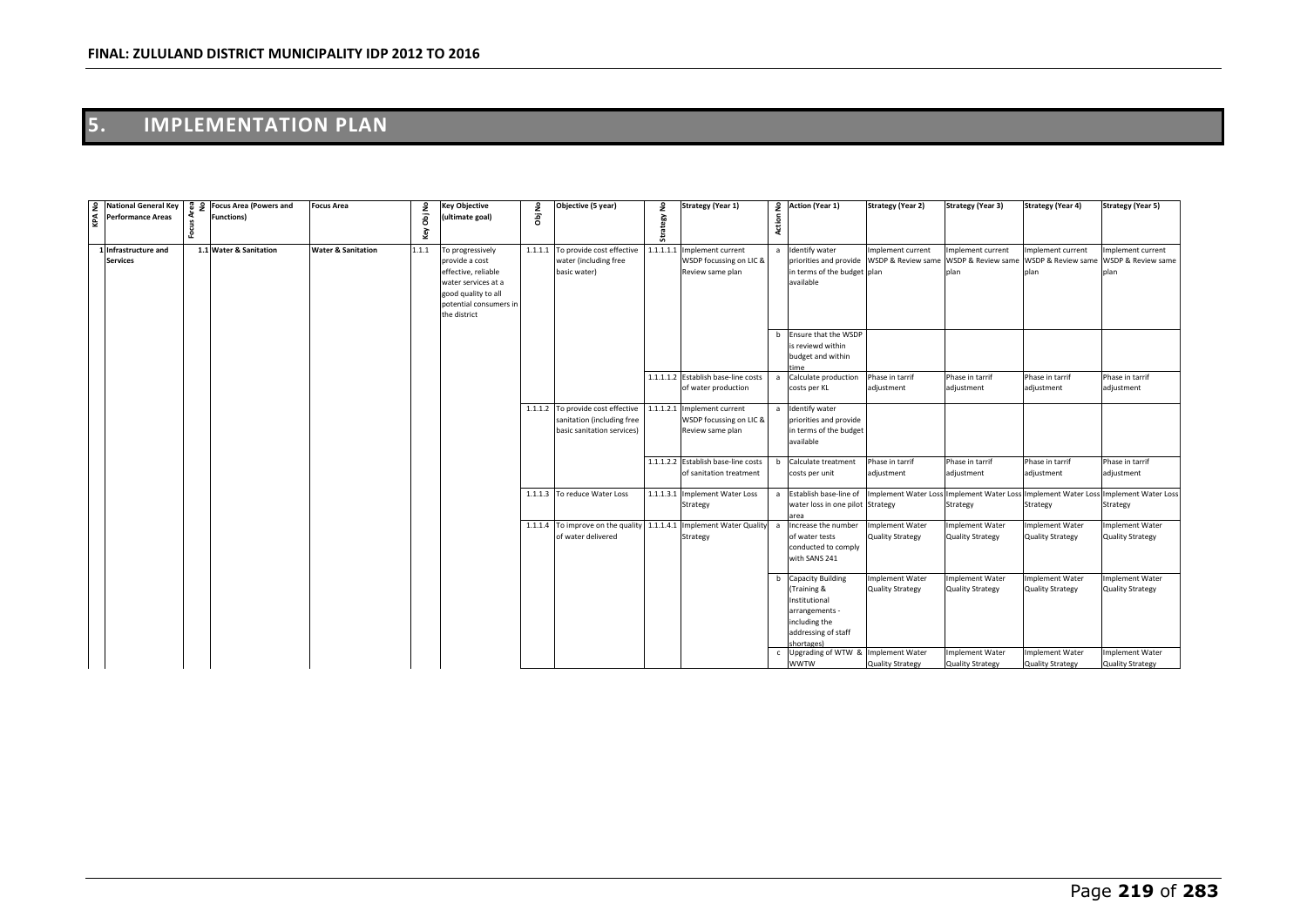# **5. IMPLEMENTATION PLAN**

| $\sum_{\alpha}^{\infty}$ Performance Areas | $\frac{6}{5}$ National General Key $\frac{6}{5}$ $\frac{6}{5}$ Focus Area (Powers and<br><b>Functions)</b> | <b>Focus Area</b>             | Obj No | <b>Key Objective</b><br>ultimate goal)                                                                                                            | Obj No | Objective (5 year)                                                                                      | ۽<br>egy  | <b>Strategy (Year 1)</b>                                         | Action       | 2 Action (Year 1)                                                                                                                | <b>Strategy (Year 2)</b>                                   | <b>Strategy (Year 3)</b>                          | <b>Strategy (Year 4)</b>                                | <b>Strategy (Year 5)</b>                          |
|--------------------------------------------|------------------------------------------------------------------------------------------------------------|-------------------------------|--------|---------------------------------------------------------------------------------------------------------------------------------------------------|--------|---------------------------------------------------------------------------------------------------------|-----------|------------------------------------------------------------------|--------------|----------------------------------------------------------------------------------------------------------------------------------|------------------------------------------------------------|---------------------------------------------------|---------------------------------------------------------|---------------------------------------------------|
|                                            |                                                                                                            |                               | Key    |                                                                                                                                                   |        |                                                                                                         | ā         |                                                                  |              |                                                                                                                                  |                                                            |                                                   |                                                         |                                                   |
| 1 Infrastructure and<br><b>Services</b>    | 1.1 Water & Sanitation                                                                                     | <b>Water &amp; Sanitation</b> | 1.1.1  | To progressively<br>provide a cost<br>effective, reliable<br>water services at a<br>good quality to all<br>potential consumers in<br>the district |        | 1.1.1.1 To provide cost effective<br>water (including free<br>basic water)                              | 1.1.1.1.1 | Implement current<br>WSDP focussing on LIC &<br>Review same plan |              | a Identify water<br>priorities and provide<br>in terms of the budget plan<br>available                                           | Implement current<br>WSDP & Review same WSDP & Review same | Implement current<br>plan                         | Implement current<br>WSDP & Review same<br>plan         | Implement current<br>WSDP & Review same<br>plan   |
|                                            |                                                                                                            |                               |        |                                                                                                                                                   |        |                                                                                                         |           |                                                                  | h            | Ensure that the WSDP<br>is reviewd within<br>budget and within<br>'ime                                                           |                                                            |                                                   |                                                         |                                                   |
|                                            |                                                                                                            |                               |        |                                                                                                                                                   |        |                                                                                                         |           | 1.1.1.1.2 Establish base-line costs<br>of water production       | a            | Calculate production<br>costs per KL                                                                                             | Phase in tarrif<br>adjustment                              | Phase in tarrif<br>adjustment                     | Phase in tarrif<br>adjustment                           | hase in tarrif<br>adjustment                      |
|                                            |                                                                                                            |                               |        |                                                                                                                                                   |        | 1.1.1.2 To provide cost effective 1.1.1.2.1<br>sanitation (including free<br>basic sanitation services) |           | Implement current<br>WSDP focussing on LIC &<br>Review same plan |              | a Identify water<br>priorities and provide<br>in terms of the budget<br>available                                                |                                                            |                                                   |                                                         |                                                   |
|                                            |                                                                                                            |                               |        |                                                                                                                                                   |        |                                                                                                         |           | 1.1.1.2.2 Establish base-line costs<br>of sanitation treatment   | b            | Calculate treatment<br>costs per unit                                                                                            | Phase in tarrif<br>adjustment                              | Phase in tarrif<br>adjustment                     | Phase in tarrif<br>adjustment                           | Phase in tarrif<br>adjustment                     |
|                                            |                                                                                                            |                               |        |                                                                                                                                                   |        | 1.1.1.3 To reduce Water Loss                                                                            |           | 1.1.1.3.1 Implement Water Loss<br>Strategy                       |              | a Establish base-line of<br>water loss in one pilot Strategy<br>area                                                             | Implement Water Loss Implement Water Los                   | Strategy                                          | s Implement Water Loss Implement Water Loss<br>Strategy | Strategy                                          |
|                                            |                                                                                                            |                               |        |                                                                                                                                                   |        | 1.1.1.4 To improve on the quality 1.1.1.4.1 Implement Water Quality<br>of water delivered               |           | Strategy                                                         | $\mathbf{a}$ | Increase the number<br>of water tests<br>conducted to comply<br>with SANS 241                                                    | <b>Implement Water</b><br>Quality Strategy                 | <b>Implement Water</b><br><b>Quality Strategy</b> | <b>Implement Water</b><br><b>Quality Strategy</b>       | <b>Implement Water</b><br>Quality Strategy        |
|                                            |                                                                                                            |                               |        |                                                                                                                                                   |        |                                                                                                         |           |                                                                  | b            | <b>Capacity Building</b><br>(Training &<br>Institutional<br>arrangements -<br>including the<br>addressing of staff<br>shortages) | Implement Water<br>Quality Strategy                        | Implement Water<br><b>Quality Strategy</b>        | mplement Water<br><b>Quality Strategy</b>               | Implement Water<br><b>Quality Strategy</b>        |
|                                            |                                                                                                            |                               |        |                                                                                                                                                   |        |                                                                                                         |           |                                                                  |              | Upgrading of WTW & Implement Water<br><b>WWTW</b>                                                                                | Quality Strategy                                           | <b>Implement Water</b><br><b>Quality Strategy</b> | <b>Implement Water</b><br><b>Quality Strategy</b>       | <b>Implement Water</b><br><b>Quality Strategy</b> |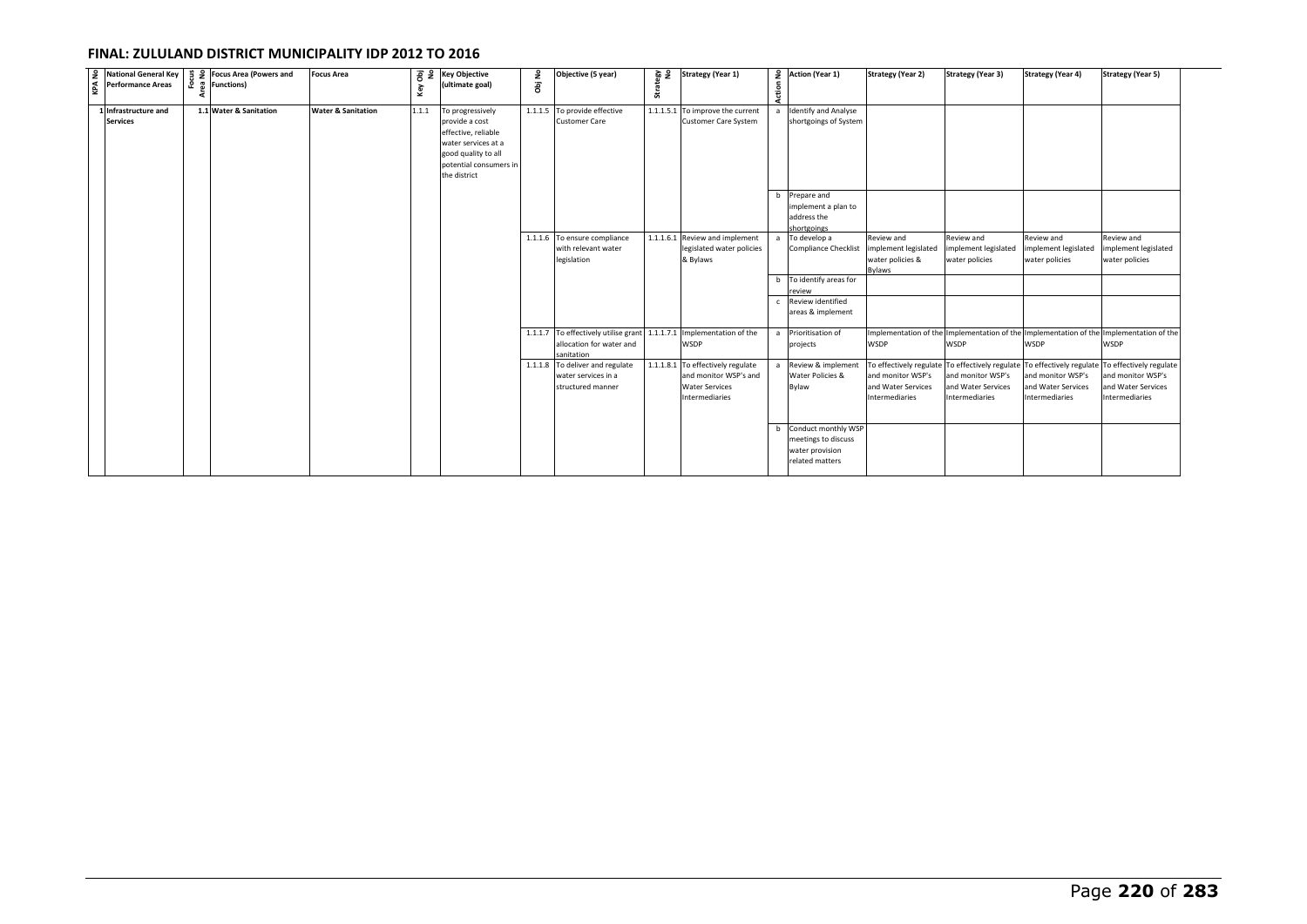| $\frac{2}{3}$ National General Key<br>$\frac{4}{3}$ Performance Areas | $\frac{9}{11}$ $\frac{9}{2}$ Focus Area (Powers and<br>훈 및 Functions) | <b>Focus Area</b>             | Key   | $\overline{8}$ $\overline{2}$ Key Objective<br>(ultimate goal)                                                                                    | Obj No | Objective (5 year)                                                                       | egy<br>No<br>Strat | <b>Strategy (Year 1)</b>                                                                              | Action | 2 Action (Year 1)                                                                    | <b>Strategy (Year 2)</b>                                                             | <b>Strategy (Year 3)</b>                                                                                                             | <b>Strategy (Year 4)</b>                                  | <b>Strategy (Year 5)</b>                                  |
|-----------------------------------------------------------------------|-----------------------------------------------------------------------|-------------------------------|-------|---------------------------------------------------------------------------------------------------------------------------------------------------|--------|------------------------------------------------------------------------------------------|--------------------|-------------------------------------------------------------------------------------------------------|--------|--------------------------------------------------------------------------------------|--------------------------------------------------------------------------------------|--------------------------------------------------------------------------------------------------------------------------------------|-----------------------------------------------------------|-----------------------------------------------------------|
| 1 Infrastructure and<br><b>Services</b>                               | 1.1 Water & Sanitation                                                | <b>Water &amp; Sanitation</b> | 1.1.1 | To progressively<br>provide a cost<br>effective, reliable<br>water services at a<br>good quality to all<br>potential consumers in<br>the district |        | 1.1.1.5 To provide effective<br><b>Customer Care</b>                                     |                    | 1.1.1.5.1 To improve the current<br><b>Customer Care System</b>                                       |        | a Identify and Analyse<br>shortgoings of System                                      |                                                                                      |                                                                                                                                      |                                                           |                                                           |
|                                                                       |                                                                       |                               |       |                                                                                                                                                   |        |                                                                                          |                    |                                                                                                       |        | b Prepare and<br>implement a plan to<br>address the<br>shortgoings                   |                                                                                      |                                                                                                                                      |                                                           |                                                           |
|                                                                       |                                                                       |                               |       |                                                                                                                                                   |        | 1.1.1.6 To ensure compliance<br>with relevant water<br>legislation                       |                    | 1.1.1.6.1 Review and implement<br>legislated water policies<br>& Bylaws                               | a      | To develop a<br>Compliance Checklist implement legislated<br>b To identify areas for | Review and<br>water policies &<br>Bylaws                                             | Review and<br>implement legislated<br>water policies                                                                                 | Review and<br>implement legislated<br>water policies      | Review and<br>implement legislated<br>water policies      |
|                                                                       |                                                                       |                               |       |                                                                                                                                                   |        |                                                                                          |                    |                                                                                                       |        | review<br>c Review identified<br>areas & implement                                   |                                                                                      |                                                                                                                                      |                                                           |                                                           |
|                                                                       |                                                                       |                               |       |                                                                                                                                                   |        | 1.1.1.7 To effectively utilise grant 1.1.1.7.1<br>allocation for water and<br>sanitation |                    | Implementation of the<br><b>WSDP</b>                                                                  |        | a Prioritisation of<br>projects                                                      | <b>WSDP</b>                                                                          | Implementation of the Implementation of the Implementation of the Implementation of the<br>WSDP                                      | <b>WSDP</b>                                               | <b>WSDP</b>                                               |
|                                                                       |                                                                       |                               |       |                                                                                                                                                   |        | 1.1.1.8 To deliver and regulate<br>water services in a<br>structured manner              |                    | 1.1.1.8.1 To effectively regulate<br>and monitor WSP's and<br><b>Water Services</b><br>Intermediaries |        | a Review & implement<br>Water Policies &<br>Bylaw                                    | To effectively regulate<br>and monitor WSP's<br>and Water Services<br>Intermediaries | To effectively regulate To effectively regulate To effectively regulate<br>and monitor WSP's<br>and Water Services<br>Intermediaries | and monitor WSP's<br>and Water Services<br>Intermediaries | and monitor WSP's<br>and Water Services<br>Intermediaries |
|                                                                       |                                                                       |                               |       |                                                                                                                                                   |        |                                                                                          |                    |                                                                                                       |        | b Conduct monthly WSP<br>meetings to discuss<br>water provision<br>related matters   |                                                                                      |                                                                                                                                      |                                                           |                                                           |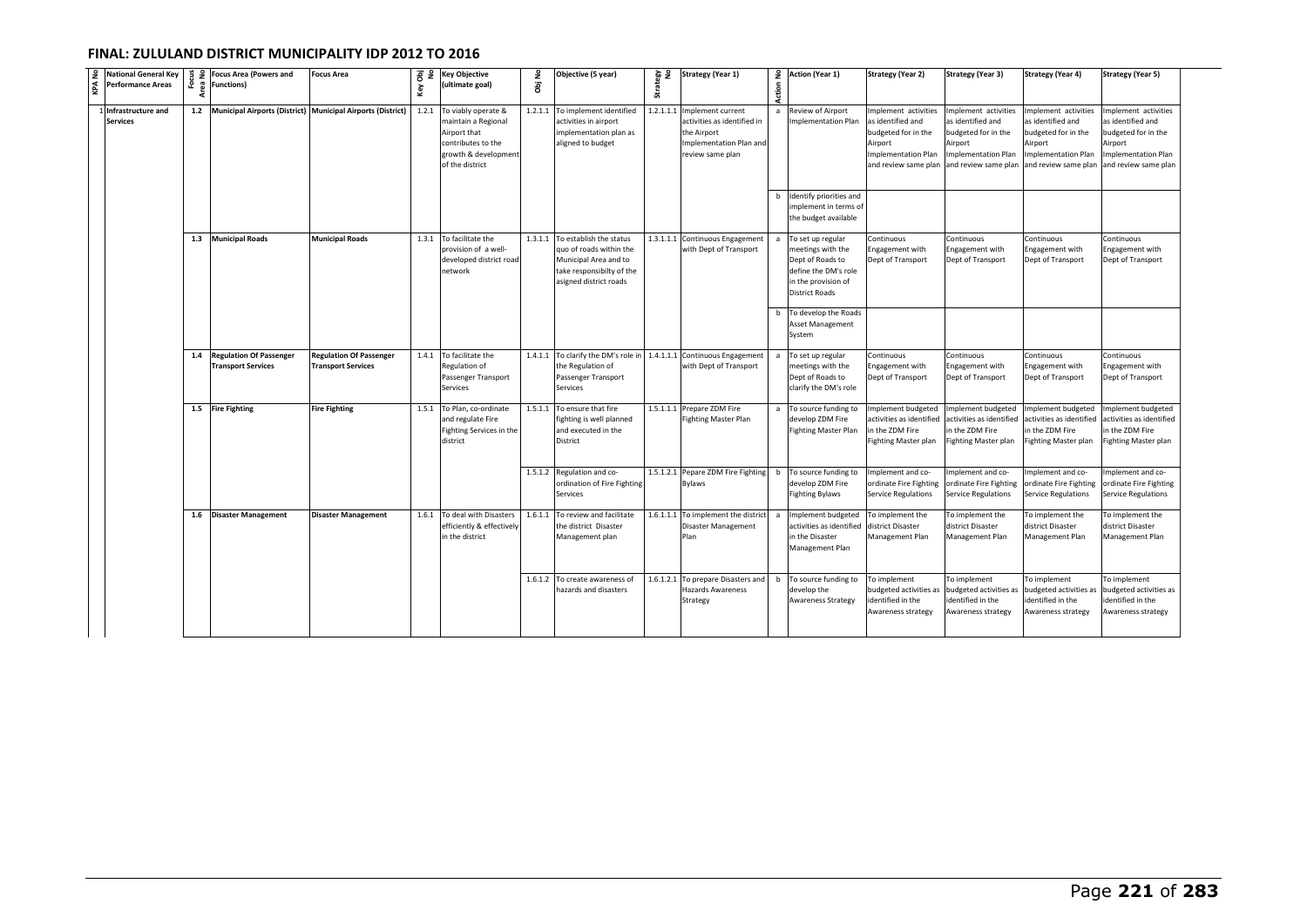| National General Key<br>Performance Areas | 운   | g 9 Focus Area (Powers and<br>္မ်ိဳ Functions)                  | <b>Focus Area</b>                                           | Κeγ   | B <sub>2</sub> Key Objective<br>(ultimate goal)                                                                             | ObjNo   | Objective (5 year)                                                                                                                         | ទី ទី<br>Strat | <b>Strategy (Year 1)</b>                                                                                    | Action | 2 Action (Year 1)                                                                                                                  | <b>Strategy (Year 2)</b>                                                                                                         | Strategy (Year 3)                                                                                                        | <b>Strategy (Year 4)</b>                                                                                                  | <b>Strategy (Year 5)</b>                                                                                                  |
|-------------------------------------------|-----|-----------------------------------------------------------------|-------------------------------------------------------------|-------|-----------------------------------------------------------------------------------------------------------------------------|---------|--------------------------------------------------------------------------------------------------------------------------------------------|----------------|-------------------------------------------------------------------------------------------------------------|--------|------------------------------------------------------------------------------------------------------------------------------------|----------------------------------------------------------------------------------------------------------------------------------|--------------------------------------------------------------------------------------------------------------------------|---------------------------------------------------------------------------------------------------------------------------|---------------------------------------------------------------------------------------------------------------------------|
| Infrastructure and<br><b>Services</b>     |     | 1.2 Municipal Airports (District) Municipal Airports (District) |                                                             | 1.2.1 | To viably operate &<br>maintain a Regional<br>Airport that<br>contributes to the<br>growth & development<br>of the district | 1.2.1.1 | To implement identified<br>activities in airport<br>implementation plan as<br>aligned to budget                                            | 1.2.1.1.1      | Implement current<br>activities as identified in<br>he Airport<br>mplementation Plan and<br>eview same plan |        | a Review of Airport<br>Implementation Plan                                                                                         | mplement activities<br>as identified and<br>budgeted for in the<br>Airport<br><b>Implementation Plan</b><br>and review same plan | mplement activities<br>as identified and<br>budgeted for in the<br>Airport<br>mplementation Plan<br>and review same plan | Implement activities<br>as identified and<br>budgeted for in the<br>Airport<br>mplementation Plan<br>and review same plan | Implement activities<br>as identified and<br>budgeted for in the<br>Airport<br>mplementation Plan<br>and review same plan |
|                                           |     |                                                                 |                                                             |       |                                                                                                                             |         |                                                                                                                                            |                |                                                                                                             | b      | Identify priorities and<br>implement in terms of<br>the budget available                                                           |                                                                                                                                  |                                                                                                                          |                                                                                                                           |                                                                                                                           |
|                                           |     | 1.3 Municipal Roads                                             | <b>Municipal Roads</b>                                      |       | 1.3.1 To facilitate the<br>provision of a well-<br>developed district roac<br>network                                       |         | 1.3.1.1 To establish the status<br>quo of roads within the<br>Municipal Area and to<br>take responsibilty of the<br>asigned district roads |                | 1.3.1.1.1 Continuous Engagement<br>with Dept of Transport                                                   |        | To set up regular<br>meetings with the<br>Dept of Roads to<br>define the DM's role<br>in the provision of<br><b>District Roads</b> | Continuous<br>Engagement with<br>Dept of Transport                                                                               | Continuous<br>Engagement with<br>Dept of Transport                                                                       | Continuous<br>Engagement with<br>Dept of Transport                                                                        | Continuous<br>Engagement with<br>Dept of Transport                                                                        |
|                                           |     |                                                                 |                                                             |       |                                                                                                                             |         |                                                                                                                                            |                |                                                                                                             |        | b To develop the Roads<br>Asset Management<br>System                                                                               |                                                                                                                                  |                                                                                                                          |                                                                                                                           |                                                                                                                           |
|                                           | 1.4 | <b>Regulation Of Passenger</b><br><b>Transport Services</b>     | <b>Regulation Of Passenger</b><br><b>Transport Services</b> |       | 1.4.1 To facilitate the<br>Regulation of<br>Passenger Transport<br>Services                                                 |         | 1.4.1.1 To clarify the DM's role in 1.4.1.1.1 Continuous Engagement<br>the Regulation of<br>Passenger Transport<br>Services                |                | with Dept of Transport                                                                                      | a      | To set up regular<br>meetings with the<br>Dept of Roads to<br>clarify the DM's role                                                | Continuous<br>Engagement with<br>Dept of Transport                                                                               | Continuous<br>Engagement with<br>Dept of Transport                                                                       | Continuous<br>Engagement with<br>Dept of Transport                                                                        | Continuous<br>Ingagement with<br>Dept of Transport                                                                        |
|                                           |     | 1.5 Fire Fighting                                               | <b>Fire Fighting</b>                                        |       | 1.5.1 To Plan, co-ordinate<br>and regulate Fire<br>Fighting Services in the<br>district                                     | 1.5.1.1 | To ensure that fire<br>fighting is well planned<br>and executed in the<br>District                                                         |                | 1.5.1.1.1 Prepare ZDM Fire<br><b>Fighting Master Plan</b>                                                   |        | a To source funding to<br>develop ZDM Fire<br><b>Fighting Master Plan</b>                                                          | mplement budgeted<br>activities as identified<br>n the ZDM Fire<br>Fighting Master plan                                          | mplement budgeted<br>ctivities as identified<br>in the ZDM Fire<br>Fighting Master plan                                  | Implement budgeted<br>ctivities as identified<br>in the ZDM Fire<br>Fighting Master plan                                  | mplement budgeted<br>activities as identified<br>in the ZDM Fire<br>Fighting Master plan                                  |
|                                           |     |                                                                 |                                                             |       |                                                                                                                             |         | 1.5.1.2 Regulation and co-<br>ordination of Fire Fighting<br>Services                                                                      | 1.5.1.2.1      | Pepare ZDM Fire Fighting<br>Bylaws                                                                          | b      | To source funding to<br>develop ZDM Fire<br>Fighting Bylaws                                                                        | mplement and co-<br>ordinate Fire Fighting<br>Service Regulations                                                                | mplement and co-<br>ordinate Fire Fighting<br>Service Regulations                                                        | mplement and co-<br>ordinate Fire Fighting<br>Service Regulations                                                         | mplement and co-<br>ordinate Fire Fighting<br>Service Regulations                                                         |
|                                           |     | 1.6 Disaster Management                                         | <b>Disaster Management</b>                                  | 1.6.1 | To deal with Disasters<br>efficiently & effectively<br>in the district                                                      | 1.6.1.1 | To review and facilitate<br>the district Disaster<br>Management plan                                                                       | 1.6.1.1.1      | To implement the district<br>Disaster Management<br>Plan                                                    | a      | Implement budgeted<br>activities as identified<br>in the Disaster<br>Management Plan                                               | To implement the<br>district Disaster<br>Management Plan                                                                         | To implement the<br>district Disaster<br>Management Plan                                                                 | To implement the<br>district Disaster<br>Management Plan                                                                  | To implement the<br>district Disaster<br>Management Plan                                                                  |
|                                           |     |                                                                 |                                                             |       |                                                                                                                             |         | 1.6.1.2 To create awareness of<br>hazards and disasters                                                                                    | 1.6.1.2.1      | To prepare Disasters and<br>Hazards Awareness<br>Strategy                                                   | b      | To source funding to<br>develop the<br><b>Awareness Strategy</b>                                                                   | To implement<br>budgeted activities as<br>dentified in the<br>Awareness strategy                                                 | To implement<br>budgeted activities as<br>dentified in the<br>Awareness strategy                                         | To implement<br>budgeted activities as<br>identified in the<br>Awareness strategy                                         | To implement<br>budgeted activities as<br>identified in the<br>Awareness strategy                                         |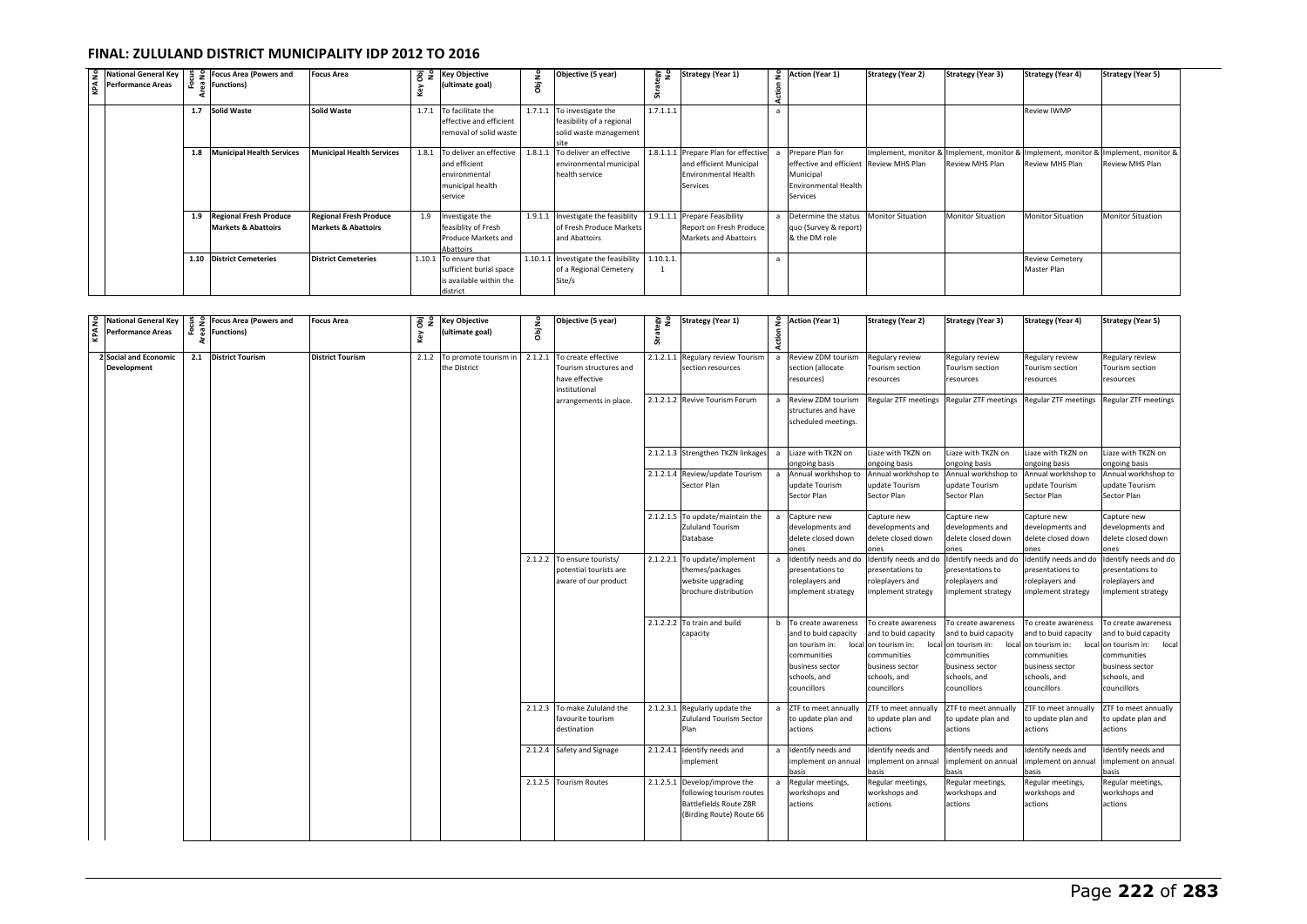| 9 National General Key                    |            | 월 우 Focus Area (Powers and       | Focus Area                       |   | 공 및 Key Objective             |                                      | Objective (5 year)                             | 요 영       | <b>Strategy (Year 1)</b>   | 9 Action (Year 1)                       | <b>Strategy (Year 2)</b> | <b>Strategy (Year 3)</b>                                                            | <b>Strategy (Year 4)</b> | <b>Strategy (Year 5)</b> |
|-------------------------------------------|------------|----------------------------------|----------------------------------|---|-------------------------------|--------------------------------------|------------------------------------------------|-----------|----------------------------|-----------------------------------------|--------------------------|-------------------------------------------------------------------------------------|--------------------------|--------------------------|
| $\overline{\mathbf{a}}$ Performance Areas | <b>.</b> . | <b>Functions</b> )               |                                  | ⊻ | (ultimate goal)               | $\overline{a}$<br>$\overline{\circ}$ |                                                |           |                            |                                         |                          |                                                                                     |                          |                          |
|                                           | 1.7        | Solid Waste                      | Solid Waste                      |   | 1.7.1 To facilitate the       |                                      | 1.7.1.1 To investigate the                     | 1.7.1.1.1 |                            |                                         |                          |                                                                                     | Review IWMP              |                          |
|                                           |            |                                  |                                  |   | effective and efficient       |                                      | feasibility of a regional                      |           |                            |                                         |                          |                                                                                     |                          |                          |
|                                           |            |                                  |                                  |   | removal of solid waste        |                                      | solid waste management                         |           |                            |                                         |                          |                                                                                     |                          |                          |
|                                           |            |                                  |                                  |   |                               |                                      |                                                |           |                            |                                         |                          |                                                                                     |                          |                          |
|                                           | 1.8        | <b>Municipal Health Services</b> | <b>Municipal Health Services</b> |   | 1.8.1 To deliver an effective | 1.8.1.1                              | To deliver an effective                        | 1.8.1.1.1 | Prepare Plan for effective | Prepare Plan for                        |                          | Implement, monitor & Implement, monitor & Implement, monitor & Implement, monitor & |                          |                          |
|                                           |            |                                  |                                  |   | and efficient                 |                                      | environmental municipal                        |           | and efficient Municipal    | effective and efficient Review MHS Plan |                          | Review MHS Plan                                                                     | Review MHS Plan          | <b>Review MHS Plan</b>   |
|                                           |            |                                  |                                  |   | environmental                 |                                      | health service                                 |           | Environmental Health       | Municipal                               |                          |                                                                                     |                          |                          |
|                                           |            |                                  |                                  |   | municipal health              |                                      |                                                |           | Services                   | <b>Environmental Health</b>             |                          |                                                                                     |                          |                          |
|                                           |            |                                  |                                  |   | service                       |                                      |                                                |           |                            | Services                                |                          |                                                                                     |                          |                          |
|                                           | 1.9        | <b>Regional Fresh Produce</b>    | <b>Regional Fresh Produce</b>    |   | 1.9 Investigate the           | 1.9.1.1                              | Investigate the feasiblity 1.9.1.1.1           |           | Prepare Feasibility        | Determine the status Monitor Situation  |                          | <b>Monitor Situation</b>                                                            | <b>Monitor Situation</b> | <b>Monitor Situation</b> |
|                                           |            | <b>Markets &amp; Abattoirs</b>   | <b>Markets &amp; Abattoirs</b>   |   | feasiblity of Fresh           |                                      | of Fresh Produce Markets                       |           | Report on Fresh Produce    | quo (Survey & report)                   |                          |                                                                                     |                          |                          |
|                                           |            |                                  |                                  |   | Produce Markets and           |                                      | and Abattoirs                                  |           | Markets and Abattoirs      | & the DM role                           |                          |                                                                                     |                          |                          |
|                                           |            |                                  |                                  |   | Abattoirs                     |                                      |                                                |           |                            |                                         |                          |                                                                                     |                          |                          |
|                                           |            | 1.10 District Cemeteries         | <b>District Cemeteries</b>       |   | 1.10.1 To ensure that         |                                      | 1.10.1.1 Investigate the feasibility 1.10.1.1. |           |                            |                                         |                          |                                                                                     | <b>Review Cemetery</b>   |                          |
|                                           |            |                                  |                                  |   | sufficient burial space       |                                      | of a Regional Cemetery                         |           |                            |                                         |                          |                                                                                     | Master Plan              |                          |
|                                           |            |                                  |                                  |   | is available within the       |                                      | Site/s                                         |           |                            |                                         |                          |                                                                                     |                          |                          |
|                                           |            |                                  |                                  |   | district                      |                                      |                                                |           |                            |                                         |                          |                                                                                     |                          |                          |

| <b>National General Key</b><br>Performance Areas | <u>ដូ ខ</u><br>ន្ល | <b>Focus Area (Powers and</b><br><b>Functions)</b> | <b>Focus Area</b>       | Obj<br>No<br>Key | <b>Key Objective</b><br>(ultimate goal)     | ObjNo   | Objective (5 year)                                                               | Strategy<br>No | <b>Strategy (Year 1)</b>                                                                                     | £<br>Action | Action (Year 1)                                                                                              | <b>Strategy (Year 2)</b>                                                                                     | <b>Strategy (Year 3)</b>                                                                                     | <b>Strategy (Year 4)</b>                                                                                                       | <b>Strategy (Year 5)</b>                                                                                                                   |
|--------------------------------------------------|--------------------|----------------------------------------------------|-------------------------|------------------|---------------------------------------------|---------|----------------------------------------------------------------------------------|----------------|--------------------------------------------------------------------------------------------------------------|-------------|--------------------------------------------------------------------------------------------------------------|--------------------------------------------------------------------------------------------------------------|--------------------------------------------------------------------------------------------------------------|--------------------------------------------------------------------------------------------------------------------------------|--------------------------------------------------------------------------------------------------------------------------------------------|
| 2 Social and Economic<br><b>Development</b>      |                    | 2.1 District Tourism                               | <b>District Tourism</b> |                  | 2.1.2 To promote tourism in<br>the District | 2.1.2.1 | To create effective<br>Tourism structures and<br>have effective<br>institutional |                | 2.1.2.1.1 Regulary review Tourism<br>section resources                                                       | a           | Review ZDM tourism<br>section (allocate<br>resources)                                                        | Regulary review<br>Tourism section<br>resources                                                              | Regulary review<br>Tourism section<br>resources                                                              | Regulary review<br>Tourism section<br>resources                                                                                | Regulary review<br>Tourism section<br>resources                                                                                            |
|                                                  |                    |                                                    |                         |                  |                                             |         | arrangements in place                                                            |                | 2.1.2.1.2 Revive Tourism Forum                                                                               |             | Review ZDM tourism<br>structures and have<br>scheduled meetings.                                             | Regular ZTF meetings Regular ZTF meetings                                                                    |                                                                                                              | Regular ZTF meetings Regular ZTF meetings                                                                                      |                                                                                                                                            |
|                                                  |                    |                                                    |                         |                  |                                             |         |                                                                                  |                | 2.1.2.1.3 Strengthen TKZN linkages                                                                           | a           | Liaze with TKZN on<br>ongoing basis                                                                          | iaze with TKZN on<br>ongoing basis                                                                           | Liaze with TKZN on<br>ongoing basis                                                                          | Liaze with TKZN on<br>ongoing basis                                                                                            | iaze with TKZN on<br>ongoing basis                                                                                                         |
|                                                  |                    |                                                    |                         |                  |                                             |         |                                                                                  |                | 2.1.2.1.4 Review/update Tourism<br>Sector Plan                                                               | a           | Annual workhshop to<br>update Tourism<br>Sector Plan                                                         | Annual workhshop to<br>update Tourism<br>Sector Plan                                                         | Annual workhshop to<br>update Tourism<br>Sector Plan                                                         | Annual workhshop to<br>update Tourism<br>Sector Plan                                                                           | Annual workhshop to<br>update Tourism<br>Sector Plan                                                                                       |
|                                                  |                    |                                                    |                         |                  |                                             |         |                                                                                  |                | 2.1.2.1.5 To update/maintain the<br>Zululand Tourism<br>Database                                             | a           | Capture new<br>developments and<br>delete closed down                                                        | Capture new<br>developments and<br>delete closed down                                                        | Capture new<br>developments and<br>delete closed down                                                        | Capture new<br>developments and<br>delete closed down                                                                          | Capture new<br>developments and<br>delete closed down                                                                                      |
|                                                  |                    |                                                    |                         |                  |                                             |         | 2.1.2.2 To ensure tourists/<br>potential tourists are<br>aware of our product    |                | 2.1.2.2.1 To update/implement<br>themes/packages<br>website upgrading<br>brochure distribution               | a           | Identify needs and do<br>presentations to<br>roleplayers and<br>implement strategy                           | Identify needs and do<br>presentations to<br>roleplayers and<br>implement strategy                           | Identify needs and do<br>presentations to<br>roleplayers and<br>implement strategy                           | Identify needs and do<br>presentations to<br>roleplayers and<br>implement strategy                                             | Identify needs and do<br>presentations to<br>roleplayers and<br>implement strategy                                                         |
|                                                  |                    |                                                    |                         |                  |                                             |         |                                                                                  |                | 2.1.2.2.2 To train and build<br>capacity                                                                     | b           | To create awareness<br>and to buid capacity<br>communities<br>business sector<br>schools, and<br>councillors | To create awareness<br>and to buid capacity<br>communities<br>business sector<br>schools, and<br>councillors | To create awareness<br>and to buid capacity<br>communities<br>business sector<br>schools, and<br>councillors | To create awareness<br>and to buid capacity<br>on tourism in:<br>communities<br>business sector<br>schools, and<br>councillors | To create awareness<br>and to buid capacity<br>local on tourism in: local<br>communities<br>business sector<br>schools, and<br>councillors |
|                                                  |                    |                                                    |                         |                  |                                             |         | 2.1.2.3 To make Zululand the<br>favourite tourism<br>destination                 |                | 2.1.2.3.1 Regularly update the<br>Zululand Tourism Sector<br>Plan                                            | a           | ZTF to meet annually<br>to update plan and<br>actions                                                        | ZTF to meet annually<br>to update plan and<br>actions                                                        | ZTF to meet annually<br>to update plan and<br>actions                                                        | ZTF to meet annually<br>to update plan and<br>actions                                                                          | ZTF to meet annually<br>to update plan and<br>actions                                                                                      |
|                                                  |                    |                                                    |                         |                  |                                             |         | 2.1.2.4 Safety and Signage                                                       |                | 2.1.2.4.1 Identify needs and<br>implement                                                                    | a           | Identify needs and<br>implement on annual<br>asis                                                            | Identify needs and<br>implement on annual<br>asis                                                            | Identify needs and<br>implement on annua<br>asis                                                             | Identify needs and<br>implement on annual<br>basis                                                                             | dentify needs and<br>mplement on annual<br>asis                                                                                            |
|                                                  |                    |                                                    |                         |                  |                                             |         | 2.1.2.5 Tourism Routes                                                           | 2.1.2.5.1      | Develop/improve the<br>following tourism routes<br><b>Battlefields Route ZBR</b><br>(Birding Route) Route 66 | a           | Regular meetings,<br>workshops and<br>actions                                                                | Regular meetings,<br>workshops and<br>actions                                                                | Regular meetings,<br>workshops and<br>actions                                                                | Regular meetings<br>workshops and<br>actions                                                                                   | Regular meetings,<br>workshops and<br>actions                                                                                              |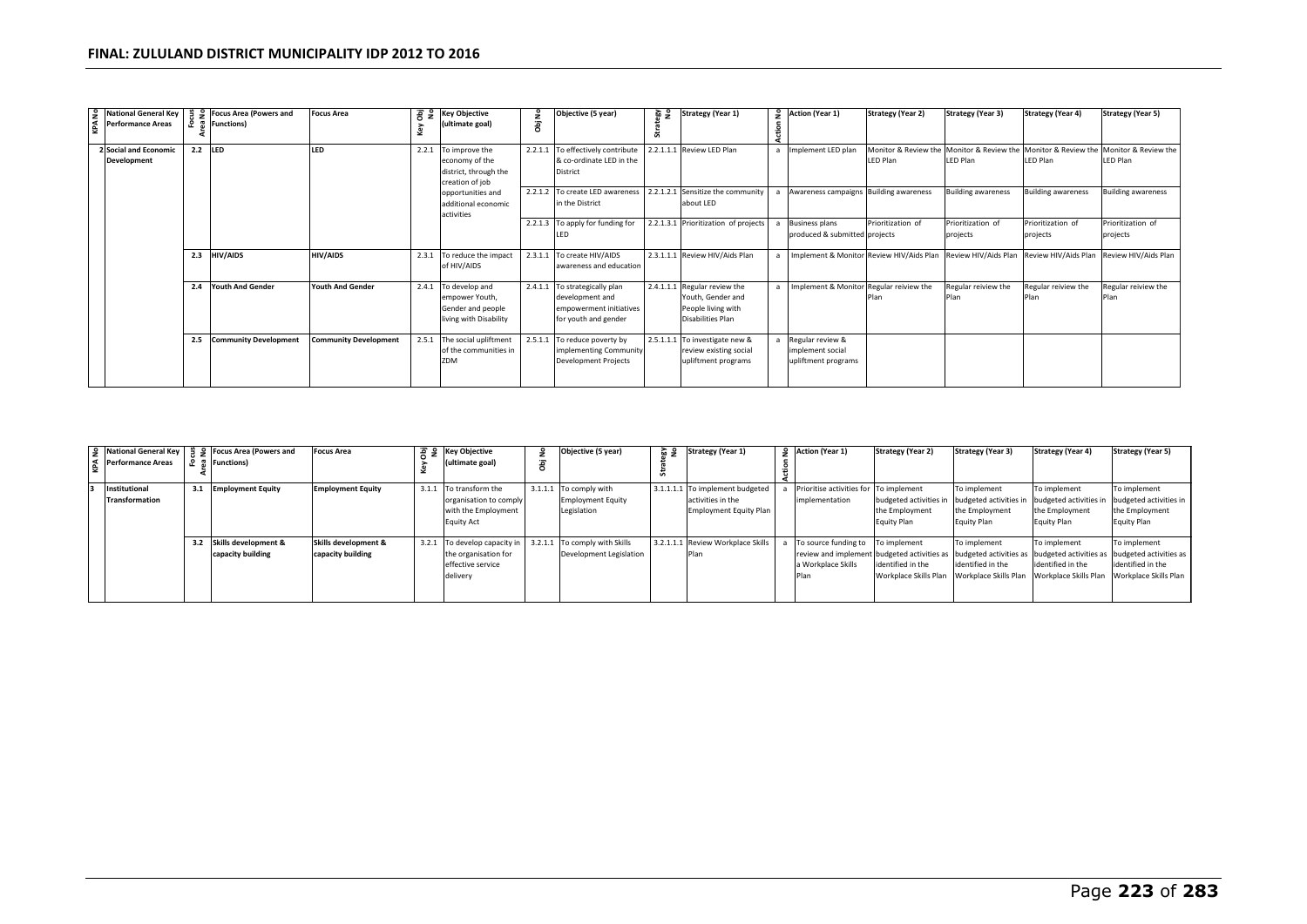| <u>۽</u> | <b>Performance Areas</b>     |     | National General Key   当 9 Focus Area (Powers and<br>운 좀 Functions) | <b>Focus Area</b>            | , ਛੋ ਵੈ | <b>Key Objective</b><br>(ultimate goal)  | å | Objective (5 year)                                                | 중 전 | <b>Strategy (Year 1)</b>             | 9 Action (Year 1)                        | <b>Strategy (Year 2)</b> | <b>Strategy (Year 3)</b>                                       | <b>Strategy (Year 4)</b>                                       | <b>Strategy (Year 5)</b>  |
|----------|------------------------------|-----|---------------------------------------------------------------------|------------------------------|---------|------------------------------------------|---|-------------------------------------------------------------------|-----|--------------------------------------|------------------------------------------|--------------------------|----------------------------------------------------------------|----------------------------------------------------------------|---------------------------|
| ¥.       |                              |     |                                                                     |                              | Key     |                                          | ā |                                                                   |     |                                      |                                          |                          |                                                                |                                                                |                           |
|          | <b>2 Social and Economic</b> | 2.2 | <b>LED</b>                                                          | LED                          | 2.2.1   | To improve the                           |   | 2.2.1.1 To effectively contribute                                 |     | 2.2.1.1.1 Review LED Plan            | a Implement LED plan                     |                          | Monitor & Review the Monitor & Review the Monitor & Review the |                                                                | Monitor & Review the      |
|          | Development                  |     |                                                                     |                              |         | economy of the                           |   | & co-ordinate LED in the                                          |     |                                      |                                          | LED Plan                 | LED Plan                                                       | LED Plan                                                       | <b>LED Plan</b>           |
|          |                              |     |                                                                     |                              |         | district, through the                    |   | District                                                          |     |                                      |                                          |                          |                                                                |                                                                |                           |
|          |                              |     |                                                                     |                              |         | creation of job                          |   | 2.2.1.2 To create LED awareness 2.2.1.2.1 Sensitize the community |     |                                      | Awareness campaigns Building awareness   |                          | <b>Building awareness</b>                                      | <b>Building awareness</b>                                      | <b>Building awareness</b> |
|          |                              |     |                                                                     |                              |         | opportunities and<br>additional economic |   | in the District                                                   |     | about LED                            |                                          |                          |                                                                |                                                                |                           |
|          |                              |     |                                                                     |                              |         | activities                               |   |                                                                   |     |                                      |                                          |                          |                                                                |                                                                |                           |
|          |                              |     |                                                                     |                              |         |                                          |   | 2.2.1.3 To apply for funding for                                  |     | 2.2.1.3.1 Prioritization of projects | <b>Business plans</b>                    | Prioritization of        | Prioritization of                                              | Prioritization of                                              | Prioritization of         |
|          |                              |     |                                                                     |                              |         |                                          |   | ILED                                                              |     |                                      | produced & submitted projects            |                          | projects                                                       | projects                                                       | projects                  |
|          |                              |     |                                                                     |                              |         |                                          |   |                                                                   |     |                                      |                                          |                          |                                                                |                                                                |                           |
|          |                              | 2.3 | <b>HIV/AIDS</b>                                                     | HIV/AIDS                     | 2.3.1   | To reduce the impact                     |   | 2.3.1.1 To create HIV/AIDS                                        |     | 2.3.1.1.1 Review HIV/Aids Plan       | Implement & Monitor Review HIV/Aids Plan |                          |                                                                | Review HIV/Aids Plan Review HIV/Aids Plan Review HIV/Aids Plan |                           |
|          |                              |     |                                                                     |                              |         | of HIV/AIDS                              |   | awareness and education                                           |     |                                      |                                          |                          |                                                                |                                                                |                           |
|          |                              | 2.4 | <b>Youth And Gender</b>                                             | <b>Youth And Gender</b>      | 2.4.1   | To develop and                           |   | 2.4.1.1 To strategically plan                                     |     | 2.4.1.1.1 Regular review the         | Implement & Monitor Regular reiview the  |                          | Regular reiview the                                            | Regular reiview the                                            | Regular reiview the       |
|          |                              |     |                                                                     |                              |         | empower Youth,                           |   | development and                                                   |     | Youth, Gender and                    |                                          |                          | Plan                                                           |                                                                |                           |
|          |                              |     |                                                                     |                              |         | Gender and people                        |   | empowerment initiatives                                           |     | People living with                   |                                          |                          |                                                                |                                                                |                           |
|          |                              |     |                                                                     |                              |         | living with Disability                   |   | for youth and gender                                              |     | Disabilities Plan                    |                                          |                          |                                                                |                                                                |                           |
|          |                              | 2.5 | <b>Community Development</b>                                        | <b>Community Development</b> |         | 2.5.1 The social upliftment              |   | 2.5.1.1 To reduce poverty by                                      |     | 2.5.1.1.1 To investigate new &       | Regular review &                         |                          |                                                                |                                                                |                           |
|          |                              |     |                                                                     |                              |         | of the communities in                    |   | implementing Community                                            |     | review existing social               | implement social                         |                          |                                                                |                                                                |                           |
|          |                              |     |                                                                     |                              |         | ZDM                                      |   | <b>Development Projects</b>                                       |     | upliftment programs                  | upliftment programs                      |                          |                                                                |                                                                |                           |
|          |                              |     |                                                                     |                              |         |                                          |   |                                                                   |     |                                      |                                          |                          |                                                                |                                                                |                           |
|          |                              |     |                                                                     |                              |         |                                          |   |                                                                   |     |                                      |                                          |                          |                                                                |                                                                |                           |

|                       |     | S National General Key   $\frac{9}{7}$ S Focus Area (Powers and | Focus Area               | $\frac{1}{6}$ $\frac{1}{2}$ Key Objective                  | ž | Objective (5 year)       | ೬ ಡ | <b>Strategy (Year 1)</b>          | 9 Action (Year 1)                      | <b>Strategy (Year 2)</b> | <b>Strategy (Year 3)</b>                    | <b>Strategy (Year 4)</b> | <b>Strategy (Year 5)</b>                                                                                         |
|-----------------------|-----|-----------------------------------------------------------------|--------------------------|------------------------------------------------------------|---|--------------------------|-----|-----------------------------------|----------------------------------------|--------------------------|---------------------------------------------|--------------------------|------------------------------------------------------------------------------------------------------------------|
| Performance Areas     |     | <b>Functions</b> )                                              |                          | (ultimate goal)                                            | 콩 |                          |     |                                   |                                        |                          |                                             |                          |                                                                                                                  |
| Institutional         | 3.1 | <b>Employment Equity</b>                                        | <b>Employment Equity</b> | 3.1.1 To transform the                                     |   | 3.1.1.1 To comply with   |     | 3.1.1.1.1 To implement budgeted   | Prioritise activities for To implement |                          | To implement                                | To implement             | To implement                                                                                                     |
| <b>Transformation</b> |     |                                                                 |                          | organisation to comply                                     |   | <b>Employment Equity</b> |     | activities in the                 | implementation                         | budgeted activities in   | budgeted activities in                      | budgeted activities in   | budgeted activities in                                                                                           |
|                       |     |                                                                 |                          | with the Employment                                        |   | Legislation              |     | <b>Employment Equity Plan</b>     |                                        | the Employment           | the Employment                              | the Employment           | the Employment                                                                                                   |
|                       |     |                                                                 |                          | <b>Equity Act</b>                                          |   |                          |     |                                   |                                        | Equity Plan              | Equity Plan                                 | Equity Plan              | Equity Plan                                                                                                      |
|                       |     |                                                                 |                          |                                                            |   |                          |     |                                   |                                        |                          |                                             |                          |                                                                                                                  |
|                       | 3.2 | Skills development &                                            | Skills development &     | 3.2.1 To develop capacity in 3.2.1.1 To comply with Skills |   |                          |     | 3.2.1.1.1 Review Workplace Skills | To source funding to To implement      |                          | To implement                                | To implement             | To implement                                                                                                     |
|                       |     | capacity building                                               | capacity building        | the organisation for                                       |   | Development Legislation  |     | Plan                              |                                        |                          |                                             |                          | review and implement budgeted activities as budgeted activities as budgeted activities as budgeted activities as |
|                       |     |                                                                 |                          | effective service                                          |   |                          |     |                                   | a Workplace Skills                     | identified in the        | identified in the                           | identified in the        | identified in the                                                                                                |
|                       |     |                                                                 |                          | delivery                                                   |   |                          |     |                                   | Plan                                   | Workplace Skills Plan    | Workplace Skills Plan Workplace Skills Plan |                          | Workplace Skills Plan                                                                                            |
|                       |     |                                                                 |                          |                                                            |   |                          |     |                                   |                                        |                          |                                             |                          |                                                                                                                  |
|                       |     |                                                                 |                          |                                                            |   |                          |     |                                   |                                        |                          |                                             |                          |                                                                                                                  |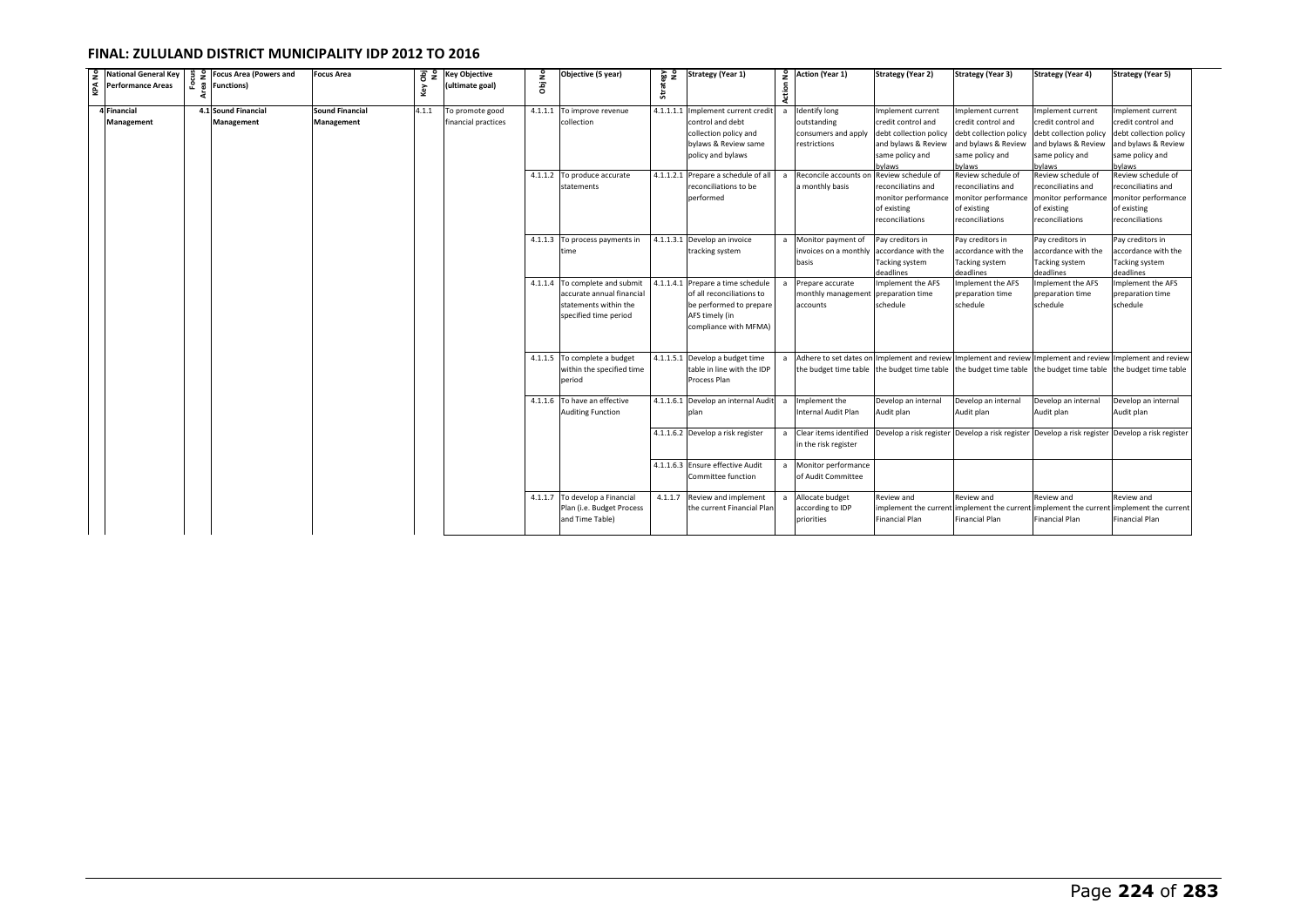| $\frac{9}{4}$ National General Key<br>Performance Areas | ទី គ | e Focus Area (Powers and<br><b>Functions</b> ) | <b>Focus Area</b>                           | Obj<br>No<br>Key | <b>Key Objective</b><br>(ultimate goal) | å<br>ā  | Objective (5 year)                                                                                            | 음 쎥<br>Strat | <b>Strategy (Year 1)</b>                                                                                                   | Action         | 2 Action (Year 1)                                                                                            | <b>Strategy (Year 2)</b>                                                                                             | <b>Strategy (Year 3)</b>                                                                                              | <b>Strategy (Year 4)</b>                                                                                             | <b>Strategy (Year 5)</b>                                                                                              |
|---------------------------------------------------------|------|------------------------------------------------|---------------------------------------------|------------------|-----------------------------------------|---------|---------------------------------------------------------------------------------------------------------------|--------------|----------------------------------------------------------------------------------------------------------------------------|----------------|--------------------------------------------------------------------------------------------------------------|----------------------------------------------------------------------------------------------------------------------|-----------------------------------------------------------------------------------------------------------------------|----------------------------------------------------------------------------------------------------------------------|-----------------------------------------------------------------------------------------------------------------------|
| 4 Financial<br>Management                               |      | 4.1 Sound Financial<br>Management              | <b>Sound Financial</b><br><b>Management</b> | 4.1.1            | To promote good<br>financial practices  | 4.1.1.1 | To improve revenue<br>collection                                                                              | 4.1.1.1.1    | Implement current credit<br>control and debt<br>collection policy and<br>bylaws & Review same<br>policy and bylaws         |                | <b>Identify long</b><br>outstanding<br>consumers and apply<br>restrictions                                   | Implement current<br>credit control and<br>debt collection policy<br>and bylaws & Review<br>same policy and<br>vlaws | Implement current<br>credit control and<br>debt collection policy<br>and bylaws & Review<br>same policy and<br>bylaws | mplement current<br>credit control and<br>debt collection policy<br>and bylaws & Review<br>same policy and<br>bylaws | Implement current<br>credit control and<br>debt collection policy<br>and bylaws & Review<br>same policy and<br>bylaws |
|                                                         |      |                                                |                                             |                  |                                         |         | 4.1.1.2 To produce accurate<br>statements                                                                     |              | 4.1.1.2.1 Prepare a schedule of all<br>reconciliations to be<br>performed                                                  |                | Reconcile accounts on<br>a monthly basis                                                                     | Review schedule of<br>econciliatins and<br>monitor performance<br>of existing<br>reconciliations                     | Review schedule of<br>reconciliatins and<br>monitor performance<br>of existing<br>reconciliations                     | Review schedule of<br>reconciliatins and<br>monitor performance<br>of existing<br>reconciliations                    | Review schedule of<br>reconciliatins and<br>monitor performance<br>of existing<br>reconciliations                     |
|                                                         |      |                                                |                                             |                  |                                         |         | 4.1.1.3 To process payments in<br>time                                                                        |              | 4.1.1.3.1 Develop an invoice<br>tracking system                                                                            | $\overline{a}$ | Monitor payment of<br>invoices on a monthly<br>basis                                                         | Pay creditors in<br>accordance with the<br>Tacking system<br>deadlines                                               | Pay creditors in<br>accordance with the<br>Tacking system<br>deadlines                                                | Pay creditors in<br>accordance with the<br>Tacking system<br>deadlines                                               | Pay creditors in<br>accordance with the<br>Tacking system<br>deadlines                                                |
|                                                         |      |                                                |                                             |                  |                                         |         | 4.1.1.4 To complete and submit<br>accurate annual financial<br>statements within the<br>specified time period | 4.1.1.4.1    | Prepare a time schedule<br>of all reconciliations to<br>be performed to prepare<br>AFS timely (in<br>compliance with MFMA) |                | Prepare accurate<br>monthly management<br>accounts                                                           | mplement the AFS<br>preparation time<br>schedule                                                                     | Implement the AFS<br>preparation time<br>schedule                                                                     | mplement the AFS<br>preparation time<br>schedule                                                                     | Implement the AFS<br>preparation time<br>schedule                                                                     |
|                                                         |      |                                                |                                             |                  |                                         |         | 4.1.1.5 To complete a budget<br>within the specified time<br>period                                           |              | 4.1.1.5.1 Develop a budget time<br>table in line with the IDP<br>Process Plan                                              |                | a Adhere to set dates on Implement and review Implement and review Implement and review Implement and review |                                                                                                                      | the budget time table the budget time table the budget time table the budget time table the budget time table         |                                                                                                                      |                                                                                                                       |
|                                                         |      |                                                |                                             |                  |                                         |         | 4.1.1.6 To have an effective<br><b>Auditing Function</b>                                                      |              | 4.1.1.6.1 Develop an internal Audit<br>nlan                                                                                | $\overline{a}$ | Implement the<br>Internal Audit Plan                                                                         | Develop an internal<br>Audit plan                                                                                    | Develop an internal<br>Audit plan                                                                                     | Develop an internal<br>Audit plan                                                                                    | Develop an internal<br>Audit plan                                                                                     |
|                                                         |      |                                                |                                             |                  |                                         |         |                                                                                                               |              | 4.1.1.6.2 Develop a risk register                                                                                          |                | a Clear items identified<br>in the risk register                                                             |                                                                                                                      | Develop a risk register Develop a risk register Develop a risk register Develop a risk register                       |                                                                                                                      |                                                                                                                       |
|                                                         |      |                                                |                                             |                  |                                         |         |                                                                                                               |              | 4.1.1.6.3 Ensure effective Audit<br>Committee function                                                                     | a              | Monitor performance<br>of Audit Committee                                                                    |                                                                                                                      |                                                                                                                       |                                                                                                                      |                                                                                                                       |
|                                                         |      |                                                |                                             |                  |                                         |         | 4.1.1.7 To develop a Financial<br>Plan (i.e. Budget Process<br>and Time Table)                                | 4.1.1.7      | Review and implement<br>the current Financial Plan                                                                         |                | a Allocate budget<br>according to IDP<br>priorities                                                          | Review and<br>mplement the current<br><b>Financial Plan</b>                                                          | Review and<br>implement the current implement the current<br><b>Financial Plan</b>                                    | Review and<br><b>Financial Plan</b>                                                                                  | Review and<br>implement the current<br>Financial Plan                                                                 |